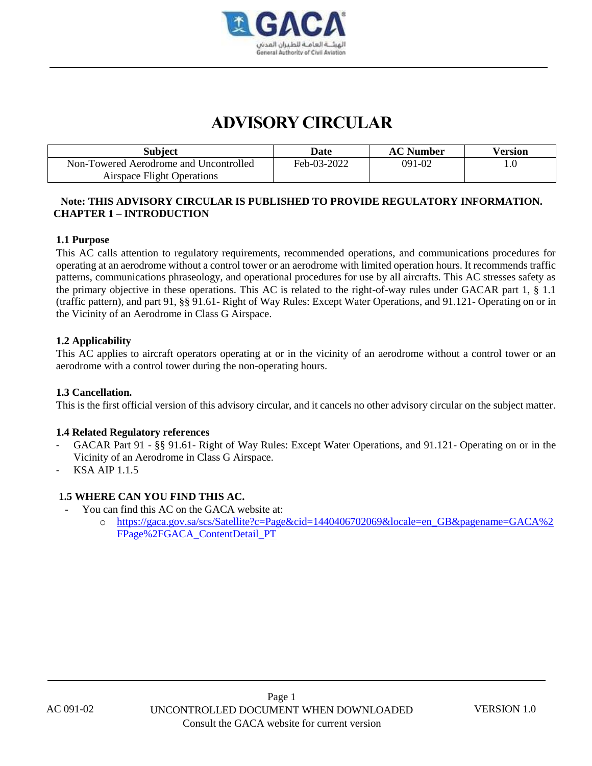

# **ADVISORY CIRCULAR**

| Subject                                | Date        | <b>AC Number</b> | Version |
|----------------------------------------|-------------|------------------|---------|
| Non-Towered Aerodrome and Uncontrolled | Feb-03-2022 | 091-02           |         |
| <b>Airspace Flight Operations</b>      |             |                  |         |

# **Note: THIS ADVISORY CIRCULAR IS PUBLISHED TO PROVIDE REGULATORY INFORMATION. CHAPTER 1 – INTRODUCTION**

## **1.1 Purpose**

This AC calls attention to regulatory requirements, recommended operations, and communications procedures for operating at an aerodrome without a control tower or an aerodrome with limited operation hours. It recommends traffic patterns, communications phraseology, and operational procedures for use by all aircrafts. This AC stresses safety as the primary objective in these operations. This AC is related to the right-of-way rules under GACAR part 1, § 1.1 (traffic pattern), and part 91, §§ 91.61- Right of Way Rules: Except Water Operations, and 91.121- Operating on or in the Vicinity of an Aerodrome in Class G Airspace.

## **1.2 Applicability**

This AC applies to aircraft operators operating at or in the vicinity of an aerodrome without a control tower or an aerodrome with a control tower during the non-operating hours.

## **1.3 Cancellation.**

This is the first official version of this advisory circular, and it cancels no other advisory circular on the subject matter.

## **1.4 Related Regulatory references**

- GACAR Part 91 §§ 91.61- Right of Way Rules: Except Water Operations, and 91.121- Operating on or in the Vicinity of an Aerodrome in Class G Airspace.
- KSA AIP 1.1.5

# **1.5 WHERE CAN YOU FIND THIS AC.**

- You can find this AC on the GACA website at:
	- o [https://gaca.gov.sa/scs/Satellite?c=Page&cid=1440406702069&locale=en\\_GB&pagename=GACA%2](https://gaca.gov.sa/scs/Satellite?c=Page&cid=1440406702069&locale=en_GB&pagename=GACA%2FPage%2FGACA_ContentDetail_PT) [FPage%2FGACA\\_ContentDetail\\_PT](https://gaca.gov.sa/scs/Satellite?c=Page&cid=1440406702069&locale=en_GB&pagename=GACA%2FPage%2FGACA_ContentDetail_PT)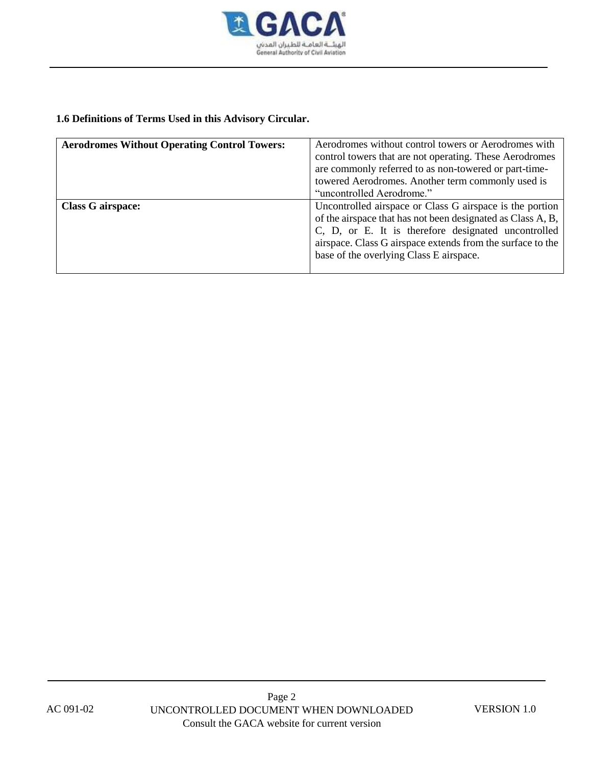

# **1.6 Definitions of Terms Used in this Advisory Circular.**

| <b>Aerodromes Without Operating Control Towers:</b> | Aerodromes without control towers or Aerodromes with        |
|-----------------------------------------------------|-------------------------------------------------------------|
|                                                     | control towers that are not operating. These Aerodromes     |
|                                                     | are commonly referred to as non-towered or part-time-       |
|                                                     | towered Aerodromes. Another term commonly used is           |
|                                                     | "uncontrolled Aerodrome."                                   |
| <b>Class G airspace:</b>                            | Uncontrolled airspace or Class G airspace is the portion    |
|                                                     | of the airspace that has not been designated as Class A, B, |
|                                                     | C, D, or E. It is therefore designated uncontrolled         |
|                                                     | airspace. Class G airspace extends from the surface to the  |
|                                                     | base of the overlying Class E airspace.                     |
|                                                     |                                                             |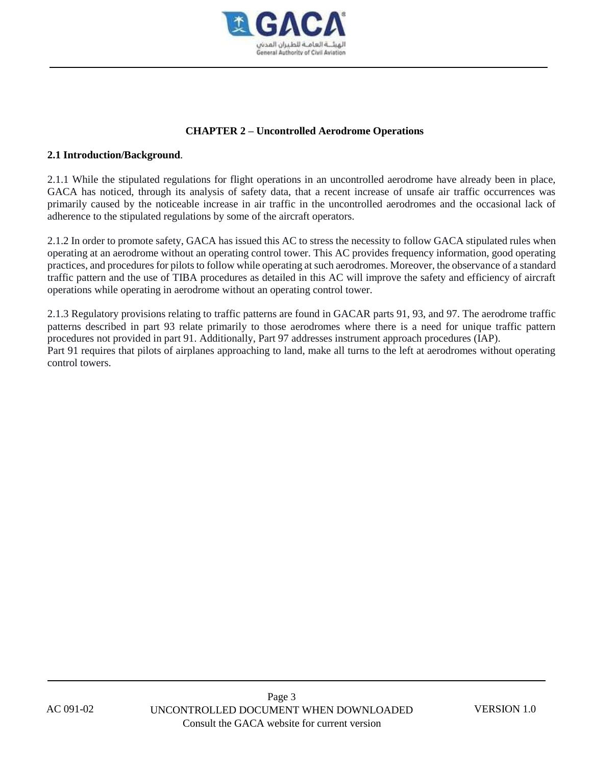

## **CHAPTER 2 – Uncontrolled Aerodrome Operations**

## **2.1 Introduction/Background**.

2.1.1 While the stipulated regulations for flight operations in an uncontrolled aerodrome have already been in place, GACA has noticed, through its analysis of safety data, that a recent increase of unsafe air traffic occurrences was primarily caused by the noticeable increase in air traffic in the uncontrolled aerodromes and the occasional lack of adherence to the stipulated regulations by some of the aircraft operators.

2.1.2 In order to promote safety, GACA has issued this AC to stress the necessity to follow GACA stipulated rules when operating at an aerodrome without an operating control tower. This AC provides frequency information, good operating practices, and procedures for pilots to follow while operating at such aerodromes. Moreover, the observance of a standard traffic pattern and the use of TIBA procedures as detailed in this AC will improve the safety and efficiency of aircraft operations while operating in aerodrome without an operating control tower.

2.1.3 Regulatory provisions relating to traffic patterns are found in GACAR parts 91, 93, and 97. The aerodrome traffic patterns described in part 93 relate primarily to those aerodromes where there is a need for unique traffic pattern procedures not provided in part 91. Additionally, Part 97 addresses instrument approach procedures (IAP). Part 91 requires that pilots of airplanes approaching to land, make all turns to the left at aerodromes without operating control towers.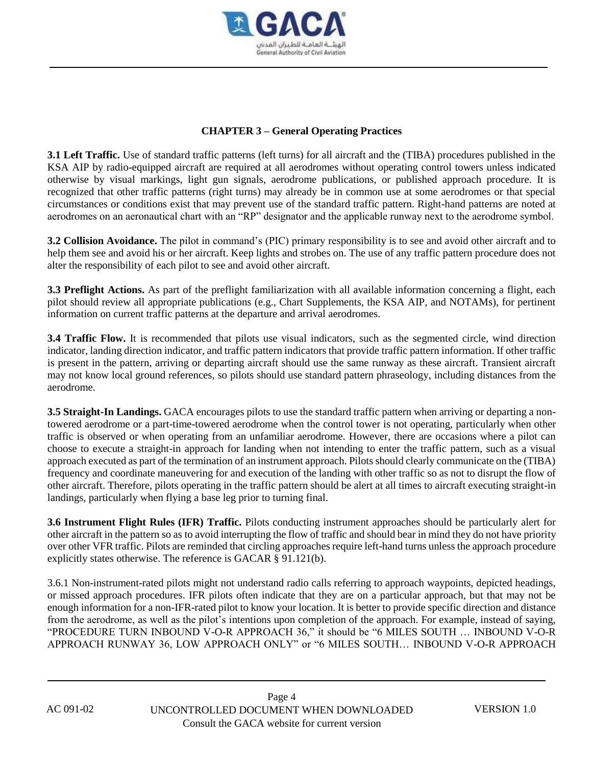

## **CHAPTER 3 – General Operating Practices**

**3.1 Left Traffic.** Use of standard traffic patterns (left turns) for all aircraft and the (TIBA) procedures published in the KSA AIP by radio-equipped aircraft are required at all aerodromes without operating control towers unless indicated otherwise by visual markings, light gun signals, aerodrome publications, or published approach procedure. It is recognized that other traffic patterns (right turns) may already be in common use at some aerodromes or that special circumstances or conditions exist that may prevent use of the standard traffic pattern. Right-hand patterns are noted at aerodromes on an aeronautical chart with an "RP" designator and the applicable runway next to the aerodrome symbol.

**3.2 Collision Avoidance.** The pilot in command's (PIC) primary responsibility is to see and avoid other aircraft and to help them see and avoid his or her aircraft. Keep lights and strobes on. The use of any traffic pattern procedure does not alter the responsibility of each pilot to see and avoid other aircraft.

**3.3 Preflight Actions.** As part of the preflight familiarization with all available information concerning a flight, each pilot should review all appropriate publications (e.g., Chart Supplements, the KSA AIP, and NOTAMs), for pertinent information on current traffic patterns at the departure and arrival aerodromes.

**3.4 Traffic Flow.** It is recommended that pilots use visual indicators, such as the segmented circle, wind direction indicator, landing direction indicator, and traffic pattern indicators that provide traffic pattern information. If other traffic is present in the pattern, arriving or departing aircraft should use the same runway as these aircraft. Transient aircraft may not know local ground references, so pilots should use standard pattern phraseology, including distances from the aerodrome.

**3.5 Straight-In Landings.** GACA encourages pilots to use the standard traffic pattern when arriving or departing a nontowered aerodrome or a part-time-towered aerodrome when the control tower is not operating, particularly when other traffic is observed or when operating from an unfamiliar aerodrome. However, there are occasions where a pilot can choose to execute a straight-in approach for landing when not intending to enter the traffic pattern, such as a visual approach executed as part of the termination of an instrument approach. Pilots should clearly communicate on the (TIBA) frequency and coordinate maneuvering for and execution of the landing with other traffic so as not to disrupt the flow of other aircraft. Therefore, pilots operating in the traffic pattern should be alert at all times to aircraft executing straight-in landings, particularly when flying a base leg prior to turning final.

**3.6 Instrument Flight Rules (IFR) Traffic.** Pilots conducting instrument approaches should be particularly alert for other aircraft in the pattern so as to avoid interrupting the flow of traffic and should bear in mind they do not have priority over other VFR traffic. Pilots are reminded that circling approaches require left-hand turns unless the approach procedure explicitly states otherwise. The reference is GACAR § 91.121(b).

3.6.1 Non-instrument-rated pilots might not understand radio calls referring to approach waypoints, depicted headings, or missed approach procedures. IFR pilots often indicate that they are on a particular approach, but that may not be enough information for a non-IFR-rated pilot to know your location. It is better to provide specific direction and distance from the aerodrome, as well as the pilot's intentions upon completion of the approach. For example, instead of saying, "PROCEDURE TURN INBOUND V-O-R APPROACH 36," it should be "6 MILES SOUTH … INBOUND V-O-R APPROACH RUNWAY 36, LOW APPROACH ONLY" or "6 MILES SOUTH… INBOUND V-O-R APPROACH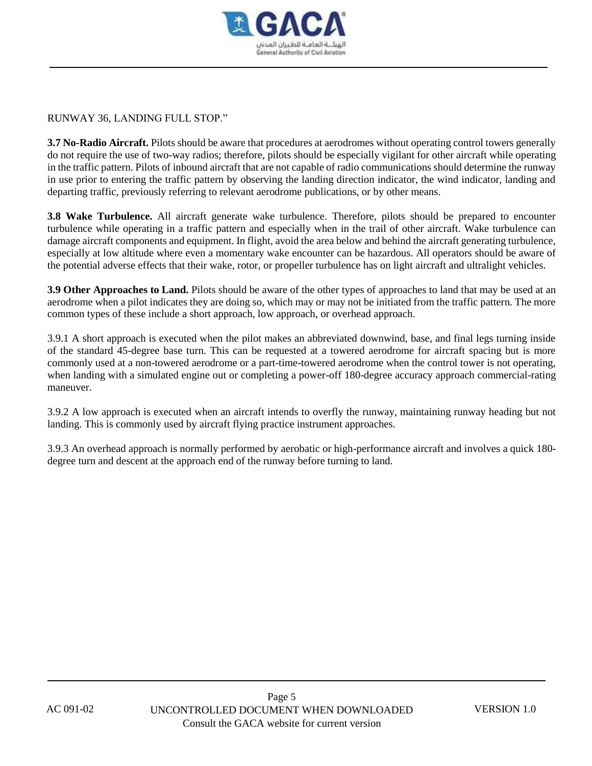

RUNWAY 36, LANDING FULL STOP."

**3.7 No-Radio Aircraft.** Pilots should be aware that procedures at aerodromes without operating control towers generally do not require the use of two-way radios; therefore, pilots should be especially vigilant for other aircraft while operating in the traffic pattern. Pilots of inbound aircraft that are not capable of radio communications should determine the runway in use prior to entering the traffic pattern by observing the landing direction indicator, the wind indicator, landing and departing traffic, previously referring to relevant aerodrome publications, or by other means.

**3.8 Wake Turbulence.** All aircraft generate wake turbulence. Therefore, pilots should be prepared to encounter turbulence while operating in a traffic pattern and especially when in the trail of other aircraft. Wake turbulence can damage aircraft components and equipment. In flight, avoid the area below and behind the aircraft generating turbulence, especially at low altitude where even a momentary wake encounter can be hazardous. All operators should be aware of the potential adverse effects that their wake, rotor, or propeller turbulence has on light aircraft and ultralight vehicles.

**3.9 Other Approaches to Land.** Pilots should be aware of the other types of approaches to land that may be used at an aerodrome when a pilot indicates they are doing so, which may or may not be initiated from the traffic pattern. The more common types of these include a short approach, low approach, or overhead approach.

3.9.1 A short approach is executed when the pilot makes an abbreviated downwind, base, and final legs turning inside of the standard 45-degree base turn. This can be requested at a towered aerodrome for aircraft spacing but is more commonly used at a non-towered aerodrome or a part-time-towered aerodrome when the control tower is not operating, when landing with a simulated engine out or completing a power-off 180-degree accuracy approach commercial-rating maneuver.

3.9.2 A low approach is executed when an aircraft intends to overfly the runway, maintaining runway heading but not landing. This is commonly used by aircraft flying practice instrument approaches.

3.9.3 An overhead approach is normally performed by aerobatic or high-performance aircraft and involves a quick 180 degree turn and descent at the approach end of the runway before turning to land.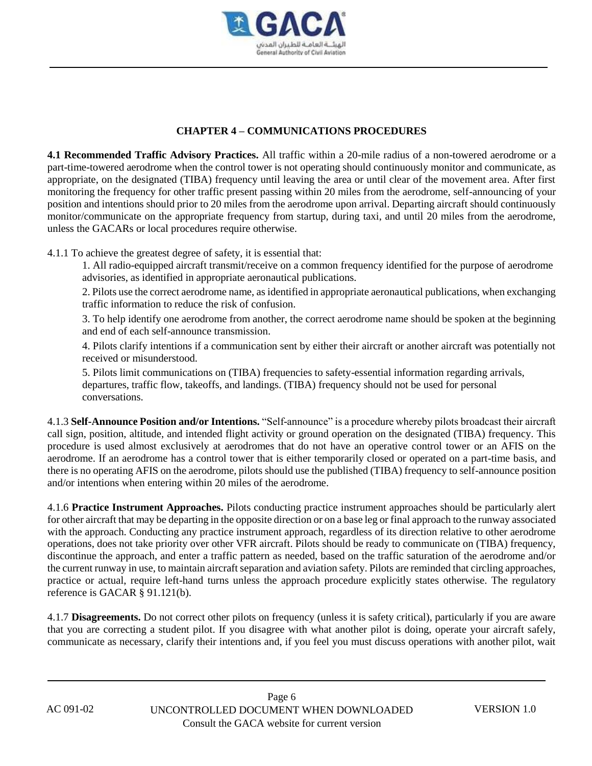

## **CHAPTER 4 – COMMUNICATIONS PROCEDURES**

**4.1 Recommended Traffic Advisory Practices.** All traffic within a 20-mile radius of a non-towered aerodrome or a part-time-towered aerodrome when the control tower is not operating should continuously monitor and communicate, as appropriate, on the designated (TIBA) frequency until leaving the area or until clear of the movement area. After first monitoring the frequency for other traffic present passing within 20 miles from the aerodrome, self-announcing of your position and intentions should prior to 20 miles from the aerodrome upon arrival. Departing aircraft should continuously monitor/communicate on the appropriate frequency from startup, during taxi, and until 20 miles from the aerodrome, unless the GACARs or local procedures require otherwise.

4.1.1 To achieve the greatest degree of safety, it is essential that:

1. All radio-equipped aircraft transmit/receive on a common frequency identified for the purpose of aerodrome advisories, as identified in appropriate aeronautical publications.

2. Pilots use the correct aerodrome name, as identified in appropriate aeronautical publications, when exchanging traffic information to reduce the risk of confusion.

3. To help identify one aerodrome from another, the correct aerodrome name should be spoken at the beginning and end of each self-announce transmission.

4. Pilots clarify intentions if a communication sent by either their aircraft or another aircraft was potentially not received or misunderstood.

5. Pilots limit communications on (TIBA) frequencies to safety-essential information regarding arrivals, departures, traffic flow, takeoffs, and landings. (TIBA) frequency should not be used for personal conversations.

4.1.3 **Self-Announce Position and/or Intentions.** "Self-announce" is a procedure whereby pilots broadcast their aircraft call sign, position, altitude, and intended flight activity or ground operation on the designated (TIBA) frequency. This procedure is used almost exclusively at aerodromes that do not have an operative control tower or an AFIS on the aerodrome. If an aerodrome has a control tower that is either temporarily closed or operated on a part-time basis, and there is no operating AFIS on the aerodrome, pilots should use the published (TIBA) frequency to self-announce position and/or intentions when entering within 20 miles of the aerodrome.

4.1.6 **Practice Instrument Approaches.** Pilots conducting practice instrument approaches should be particularly alert for other aircraft that may be departing in the opposite direction or on a base leg or final approach to the runway associated with the approach. Conducting any practice instrument approach, regardless of its direction relative to other aerodrome operations, does not take priority over other VFR aircraft. Pilots should be ready to communicate on (TIBA) frequency, discontinue the approach, and enter a traffic pattern as needed, based on the traffic saturation of the aerodrome and/or the current runway in use, to maintain aircraft separation and aviation safety. Pilots are reminded that circling approaches, practice or actual, require left-hand turns unless the approach procedure explicitly states otherwise. The regulatory reference is GACAR § 91.121(b).

4.1.7 **Disagreements.** Do not correct other pilots on frequency (unless it is safety critical), particularly if you are aware that you are correcting a student pilot. If you disagree with what another pilot is doing, operate your aircraft safely, communicate as necessary, clarify their intentions and, if you feel you must discuss operations with another pilot, wait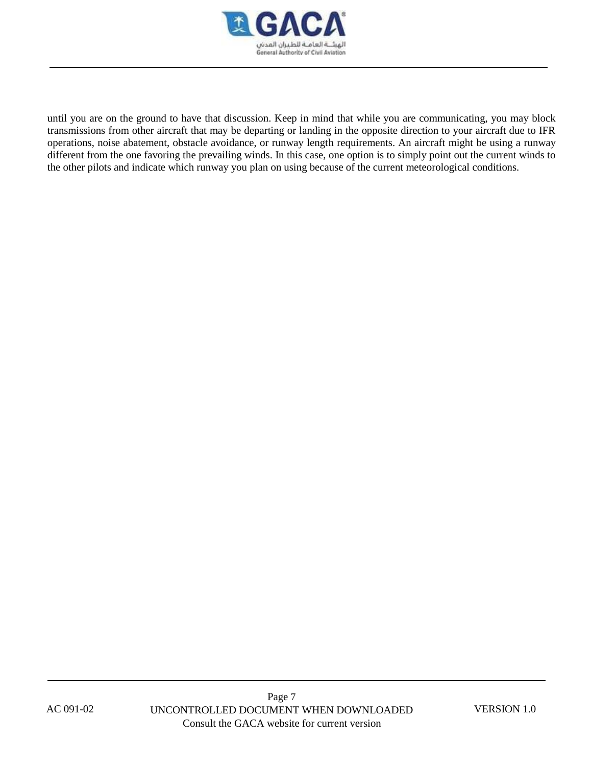

until you are on the ground to have that discussion. Keep in mind that while you are communicating, you may block transmissions from other aircraft that may be departing or landing in the opposite direction to your aircraft due to IFR operations, noise abatement, obstacle avoidance, or runway length requirements. An aircraft might be using a runway different from the one favoring the prevailing winds. In this case, one option is to simply point out the current winds to the other pilots and indicate which runway you plan on using because of the current meteorological conditions.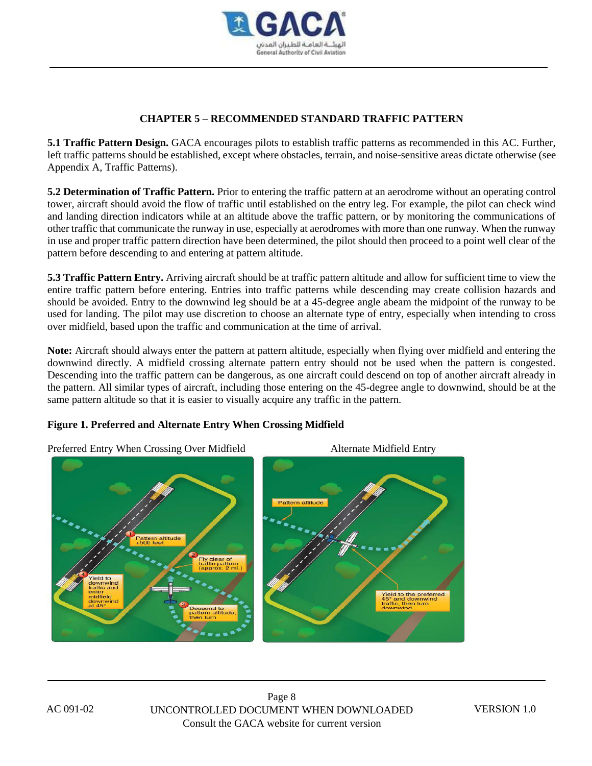

# **CHAPTER 5 – RECOMMENDED STANDARD TRAFFIC PATTERN**

**5.1 Traffic Pattern Design.** GACA encourages pilots to establish traffic patterns as recommended in this AC. Further, left traffic patterns should be established, except where obstacles, terrain, and noise-sensitive areas dictate otherwise (see Appendix A, Traffic Patterns).

**5.2 Determination of Traffic Pattern.** Prior to entering the traffic pattern at an aerodrome without an operating control tower, aircraft should avoid the flow of traffic until established on the entry leg. For example, the pilot can check wind and landing direction indicators while at an altitude above the traffic pattern, or by monitoring the communications of other traffic that communicate the runway in use, especially at aerodromes with more than one runway. When the runway in use and proper traffic pattern direction have been determined, the pilot should then proceed to a point well clear of the pattern before descending to and entering at pattern altitude.

**5.3 Traffic Pattern Entry.** Arriving aircraft should be at traffic pattern altitude and allow for sufficient time to view the entire traffic pattern before entering. Entries into traffic patterns while descending may create collision hazards and should be avoided. Entry to the downwind leg should be at a 45-degree angle abeam the midpoint of the runway to be used for landing. The pilot may use discretion to choose an alternate type of entry, especially when intending to cross over midfield, based upon the traffic and communication at the time of arrival.

**Note:** Aircraft should always enter the pattern at pattern altitude, especially when flying over midfield and entering the downwind directly. A midfield crossing alternate pattern entry should not be used when the pattern is congested. Descending into the traffic pattern can be dangerous, as one aircraft could descend on top of another aircraft already in the pattern. All similar types of aircraft, including those entering on the 45-degree angle to downwind, should be at the same pattern altitude so that it is easier to visually acquire any traffic in the pattern.

# **Figure 1. Preferred and Alternate Entry When Crossing Midfield**